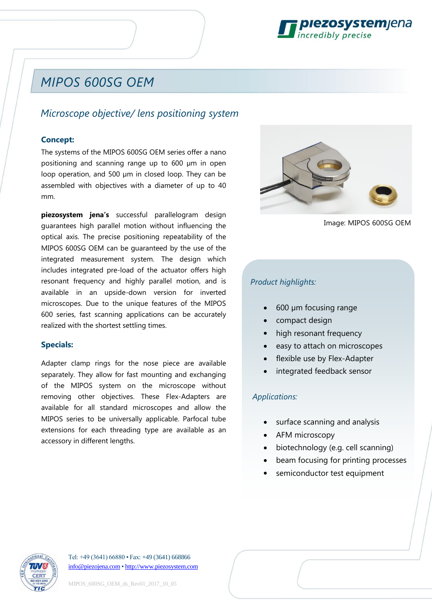

## *MIPOS 600SG OEM*

## *Microscope objective/ lens positioning system*

## **Concept:**

The systems of the MIPOS 600SG OEM series offer a nano positioning and scanning range up to 600 µm in open loop operation, and 500 µm in closed loop. They can be assembled with objectives with a diameter of up to 40 mm.

**piezosystem jena's** successful parallelogram design guarantees high parallel motion without influencing the optical axis. The precise positioning repeatability of the MIPOS 600SG OEM can be guaranteed by the use of the integrated measurement system. The design which includes integrated pre-load of the actuator offers high resonant frequency and highly parallel motion, and is available in an upside-down version for inverted microscopes. Due to the unique features of the MIPOS 600 series, fast scanning applications can be accurately realized with the shortest settling times.

#### **Specials:**

Adapter clamp rings for the nose piece are available separately. They allow for fast mounting and exchanging of the MIPOS system on the microscope without removing other objectives. These Flex-Adapters are available for all standard microscopes and allow the MIPOS series to be universally applicable. Parfocal tube extensions for each threading type are available as an accessory in different lengths.



Image: MIPOS 600SG OEM

## *Product highlights:*

- 600 µm focusing range
- compact design
- high resonant frequency
- easy to attach on microscopes
- flexible use by Flex-Adapter
- integrated feedback sensor

### *Applications:*

- surface scanning and analysis
- AFM microscopy
- biotechnology (e.g. cell scanning)
- beam focusing for printing processes
- semiconductor test equipment



Tel: +49 (3641) 66880 • Fax: +49 (3641) 668866 [info@piezojena.com](file://///PSJSERVER1/Verwaltung/Vorlagen/info@piezojena.com) [• http://www.piezosystem.com](http://www.piezosystem.com/)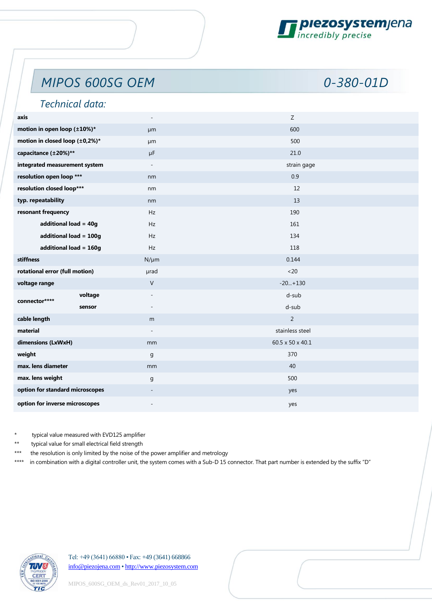

# *MIPOS 600SG OEM 0-380-01D*

## *Technical data:*

| axis                            | $\overline{\phantom{a}}$            | $\mathsf Z$            |             |
|---------------------------------|-------------------------------------|------------------------|-------------|
| motion in open loop (±10%)*     | µm                                  | 600                    |             |
| motion in closed loop (±0,2%)*  | µm                                  | 500                    |             |
| capacitance (±20%)**            | $\mu$ F                             | 21.0                   |             |
| integrated measurement system   | $\overline{\phantom{a}}$            |                        | strain gage |
| resolution open loop ***        |                                     | 0.9                    |             |
| resolution closed loop***       |                                     | 12                     |             |
| typ. repeatability              | nm                                  | 13                     |             |
| resonant frequency              | Hz                                  | 190                    |             |
| additional load = 40g           |                                     | 161                    |             |
| additional load = 100g          | Hz                                  | 134                    |             |
| additional load = 160g          | Hz                                  | 118                    |             |
| stiffness                       |                                     | $N/\mu m$<br>0.144     |             |
| rotational error (full motion)  | µrad                                | <20                    |             |
| voltage range                   | $\vee$                              | $-20+130$              |             |
| connector****                   | voltage<br>$\overline{\phantom{a}}$ | d-sub                  |             |
|                                 | sensor<br>$\overline{\phantom{a}}$  | d-sub                  |             |
| cable length                    | m                                   | $\overline{2}$         |             |
| material                        |                                     | stainless steel        |             |
| dimensions (LxWxH)              |                                     | 60.5 x 50 x 40.1<br>mm |             |
| weight                          |                                     | 370                    |             |
| max. lens diameter              |                                     | 40<br>mm               |             |
| max. lens weight                |                                     | 500                    |             |
| option for standard microscopes | $\overline{\phantom{a}}$            | yes                    |             |
| option for inverse microscopes  |                                     | yes                    |             |
|                                 |                                     |                        |             |

typical value measured with EVD125 amplifier

typical value for small electrical field strength

\*\*\* the resolution is only limited by the noise of the power amplifier and metrology

\*\*\*\* in combination with a digital controller unit, the system comes with a Sub-D 15 connector. That part number is extended by the suffix "D"